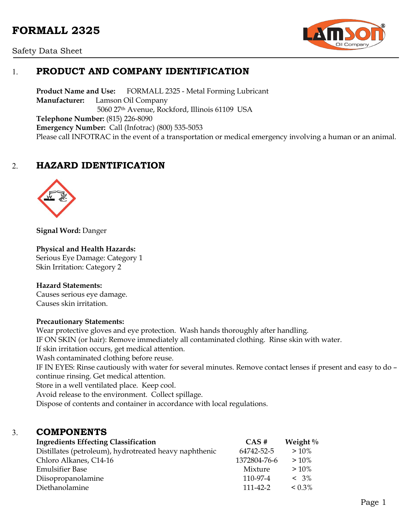# **FORMALL 2325**





# 1. **PRODUCT AND COMPANY IDENTIFICATION**

**Product Name and Use:** FORMALL 2325 - Metal Forming Lubricant **Manufacturer:** Lamson Oil Company 5060 27th Avenue, Rockford, Illinois 61109 USA **Telephone Number:** (815) 226-8090 **Emergency Number:** Call (Infotrac) (800) 535-5053 Please call INFOTRAC in the event of a transportation or medical emergency involving a human or an animal.

# 2. **HAZARD IDENTIFICATION**



**Signal Word:** Danger

#### **Physical and Health Hazards:**

Serious Eye Damage: Category 1 Skin Irritation: Category 2

#### **Hazard Statements:**

Causes serious eye damage. Causes skin irritation.

#### **Precautionary Statements:**

Wear protective gloves and eye protection. Wash hands thoroughly after handling. IF ON SKIN (or hair): Remove immediately all contaminated clothing. Rinse skin with water. If skin irritation occurs, get medical attention. Wash contaminated clothing before reuse. IF IN EYES: Rinse cautiously with water for several minutes. Remove contact lenses if present and easy to do – continue rinsing. Get medical attention. Store in a well ventilated place. Keep cool. Avoid release to the environment. Collect spillage. Dispose of contents and container in accordance with local regulations.

## 3. **COMPONENTS**

| <b>Ingredients Effecting Classification</b>            | $CAS \#$       | Weight $\%$  |
|--------------------------------------------------------|----------------|--------------|
| Distillates (petroleum), hydrotreated heavy naphthenic | 64742-52-5     | $>10\%$      |
| Chloro Alkanes, C14-16                                 | 1372804-76-6   | $>10\%$      |
| <b>Emulsifier Base</b>                                 | Mixture        | $>10\%$      |
| Diisopropanolamine                                     | 110-97-4       | $< 3\%$      |
| Diethanolamine                                         | $111 - 42 - 2$ | $\leq 0.3\%$ |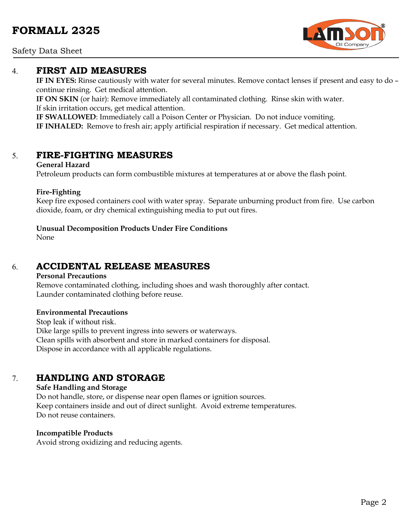Safety Data Sheet

## 4. **FIRST AID MEASURES**

**IF IN EYES:** Rinse cautiously with water for several minutes. Remove contact lenses if present and easy to do – continue rinsing. Get medical attention.

**IF ON SKIN** (or hair): Remove immediately all contaminated clothing. Rinse skin with water. If skin irritation occurs, get medical attention.

**IF SWALLOWED**: Immediately call a Poison Center or Physician. Do not induce vomiting. **IF INHALED:** Remove to fresh air; apply artificial respiration if necessary. Get medical attention.

## 5. **FIRE-FIGHTING MEASURES**

#### **General Hazard**

Petroleum products can form combustible mixtures at temperatures at or above the flash point.

#### **Fire-Fighting**

Keep fire exposed containers cool with water spray. Separate unburning product from fire. Use carbon dioxide, foam, or dry chemical extinguishing media to put out fires.

#### **Unusual Decomposition Products Under Fire Conditions**

None

# 6. **ACCIDENTAL RELEASE MEASURES**

#### **Personal Precautions**

Remove contaminated clothing, including shoes and wash thoroughly after contact. Launder contaminated clothing before reuse.

#### **Environmental Precautions**

Stop leak if without risk. Dike large spills to prevent ingress into sewers or waterways. Clean spills with absorbent and store in marked containers for disposal. Dispose in accordance with all applicable regulations.

## 7. **HANDLING AND STORAGE**

#### **Safe Handling and Storage**

Do not handle, store, or dispense near open flames or ignition sources. Keep containers inside and out of direct sunlight. Avoid extreme temperatures. Do not reuse containers.

#### **Incompatible Products**

Avoid strong oxidizing and reducing agents.

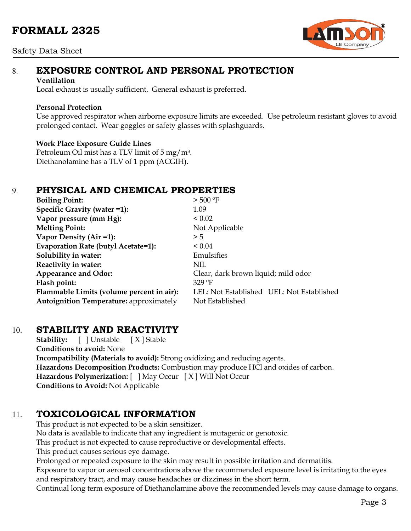### Safety Data Sheet



# 8. **EXPOSURE CONTROL AND PERSONAL PROTECTION**

#### **Ventilation**

Local exhaust is usually sufficient. General exhaust is preferred.

#### **Personal Protection**

Use approved respirator when airborne exposure limits are exceeded. Use petroleum resistant gloves to avoid prolonged contact. Wear goggles or safety glasses with splashguards.

### **Work Place Exposure Guide Lines**

Petroleum Oil mist has a TLV limit of 5 mg/m3. Diethanolamine has a TLV of 1 ppm (ACGIH).

# 9. **PHYSICAL AND CHEMICAL PROPERTIES**

| <b>Boiling Point:</b>                          | $>$ 500 °F                                |
|------------------------------------------------|-------------------------------------------|
| Specific Gravity (water =1):                   | 1.09                                      |
| Vapor pressure (mm Hg):                        | ${}_{0.02}$                               |
| <b>Melting Point:</b>                          | Not Applicable                            |
| Vapor Density (Air =1):                        | > 5                                       |
| Evaporation Rate (butyl Acetate=1):            | $\leq 0.04$                               |
| Solubility in water:                           | Emulsifies                                |
| Reactivity in water:                           | NIL.                                      |
| <b>Appearance and Odor:</b>                    | Clear, dark brown liquid; mild odor       |
| Flash point:                                   | $329$ °F                                  |
| Flammable Limits (volume percent in air):      | LEL: Not Established UEL: Not Established |
| <b>Autoignition Temperature:</b> approximately | Not Established                           |

# 10. **STABILITY AND REACTIVITY**

**Stability:** [ ] Unstable [ X ] Stable **Conditions to avoid:** None **Incompatibility (Materials to avoid):** Strong oxidizing and reducing agents. **Hazardous Decomposition Products:** Combustion may produce HCl and oxides of carbon. **Hazardous Polymerization:** [ ] May Occur [X] Will Not Occur **Conditions to Avoid:** Not Applicable

# 11. **TOXICOLOGICAL INFORMATION**

This product is not expected to be a skin sensitizer.

No data is available to indicate that any ingredient is mutagenic or genotoxic.

This product is not expected to cause reproductive or developmental effects.

This product causes serious eye damage.

Prolonged or repeated exposure to the skin may result in possible irritation and dermatitis.

Exposure to vapor or aerosol concentrations above the recommended exposure level is irritating to the eyes and respiratory tract, and may cause headaches or dizziness in the short term.

Continual long term exposure of Diethanolamine above the recommended levels may cause damage to organs.